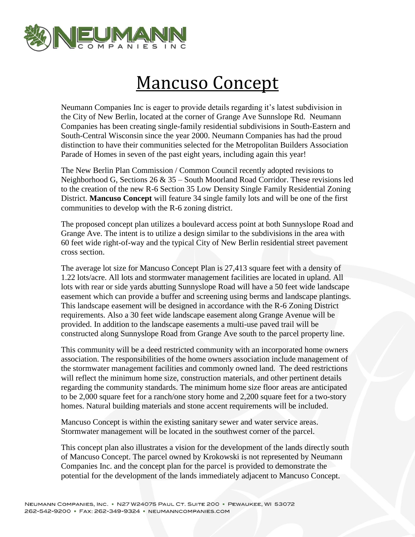

## Mancuso Concept

Neumann Companies Inc is eager to provide details regarding it's latest subdivision in the City of New Berlin, located at the corner of Grange Ave Sunnslope Rd. Neumann Companies has been creating single-family residential subdivisions in South-Eastern and South-Central Wisconsin since the year 2000. Neumann Companies has had the proud distinction to have their communities selected for the Metropolitan Builders Association Parade of Homes in seven of the past eight years, including again this year!

The New Berlin Plan Commission / Common Council recently adopted revisions to Neighborhood G, Sections 26 & 35 – South Moorland Road Corridor. These revisions led to the creation of the new R-6 Section 35 Low Density Single Family Residential Zoning District. **Mancuso Concept** will feature 34 single family lots and will be one of the first communities to develop with the R-6 zoning district.

The proposed concept plan utilizes a boulevard access point at both Sunnyslope Road and Grange Ave. The intent is to utilize a design similar to the subdivisions in the area with 60 feet wide right-of-way and the typical City of New Berlin residential street pavement cross section.

The average lot size for Mancuso Concept Plan is 27,413 square feet with a density of 1.22 lots/acre. All lots and stormwater management facilities are located in upland. All lots with rear or side yards abutting Sunnyslope Road will have a 50 feet wide landscape easement which can provide a buffer and screening using berms and landscape plantings. This landscape easement will be designed in accordance with the R-6 Zoning District requirements. Also a 30 feet wide landscape easement along Grange Avenue will be provided. In addition to the landscape easements a multi-use paved trail will be constructed along Sunnyslope Road from Grange Ave south to the parcel property line.

This community will be a deed restricted community with an incorporated home owners association. The responsibilities of the home owners association include management of the stormwater management facilities and commonly owned land. The deed restrictions will reflect the minimum home size, construction materials, and other pertinent details regarding the community standards. The minimum home size floor areas are anticipated to be 2,000 square feet for a ranch/one story home and 2,200 square feet for a two-story homes. Natural building materials and stone accent requirements will be included.

Mancuso Concept is within the existing sanitary sewer and water service areas. Stormwater management will be located in the southwest corner of the parcel.

This concept plan also illustrates a vision for the development of the lands directly south of Mancuso Concept. The parcel owned by Krokowski is not represented by Neumann Companies Inc. and the concept plan for the parcel is provided to demonstrate the potential for the development of the lands immediately adjacent to Mancuso Concept.